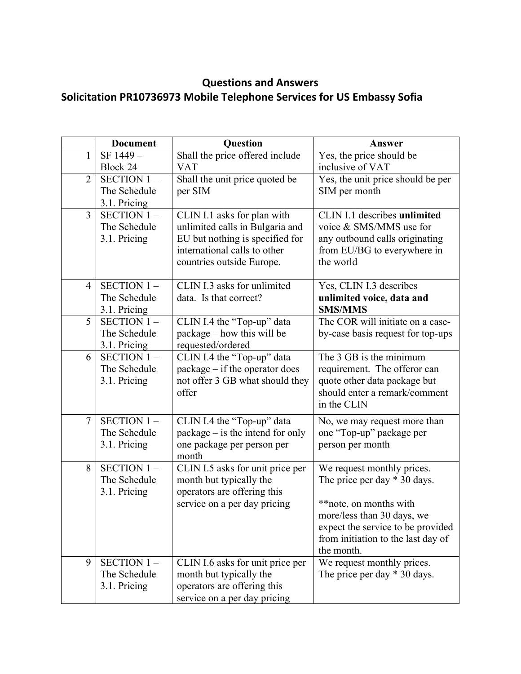## **Questions and Answers**

## **Solicitation PR10736973 Mobile Telephone Services for US Embassy Sofia**

|                | <b>Document</b>               | Question                                                           | Answer                                                       |
|----------------|-------------------------------|--------------------------------------------------------------------|--------------------------------------------------------------|
| $\mathbf{1}$   | SF 1449-                      | Shall the price offered include                                    | Yes, the price should be                                     |
|                | Block 24                      | <b>VAT</b>                                                         | inclusive of VAT                                             |
| $\overline{2}$ | SECTION 1-                    | Shall the unit price quoted be                                     | Yes, the unit price should be per                            |
|                | The Schedule                  | per SIM                                                            | SIM per month                                                |
|                | 3.1. Pricing                  |                                                                    |                                                              |
| $\overline{3}$ | SECTION $1 -$<br>The Schedule | CLIN I.1 asks for plan with                                        | CLIN I.1 describes unlimited<br>voice & SMS/MMS use for      |
|                | 3.1. Pricing                  | unlimited calls in Bulgaria and<br>EU but nothing is specified for | any outbound calls originating                               |
|                |                               | international calls to other                                       | from EU/BG to everywhere in                                  |
|                |                               | countries outside Europe.                                          | the world                                                    |
|                |                               |                                                                    |                                                              |
| $\overline{4}$ | SECTION $1 -$                 | CLIN I.3 asks for unlimited                                        | Yes, CLIN I.3 describes                                      |
|                | The Schedule                  | data. Is that correct?                                             | unlimited voice, data and                                    |
|                | 3.1. Pricing                  |                                                                    | <b>SMS/MMS</b>                                               |
| 5              | SECTION $1 -$                 | CLIN I.4 the "Top-up" data                                         | The COR will initiate on a case-                             |
|                | The Schedule                  | package – how this will be                                         | by-case basis request for top-ups                            |
|                | 3.1. Pricing                  | requested/ordered                                                  |                                                              |
| 6              | SECTION 1-<br>The Schedule    | CLIN I.4 the "Top-up" data                                         | The 3 GB is the minimum<br>requirement. The offeror can      |
|                | 3.1. Pricing                  | package – if the operator does<br>not offer 3 GB what should they  | quote other data package but                                 |
|                |                               | offer                                                              | should enter a remark/comment                                |
|                |                               |                                                                    | in the CLIN                                                  |
| $\overline{7}$ | SECTION $1 -$                 | CLIN I.4 the "Top-up" data                                         | No, we may request more than                                 |
|                | The Schedule                  | $package - is the intend for only$                                 | one "Top-up" package per                                     |
|                | 3.1. Pricing                  | one package per person per                                         | person per month                                             |
|                |                               | month                                                              |                                                              |
| 8              | SECTION 1-                    | CLIN I.5 asks for unit price per                                   | We request monthly prices.                                   |
|                | The Schedule                  | month but typically the                                            | The price per day $*$ 30 days.                               |
|                | 3.1. Pricing                  | operators are offering this                                        |                                                              |
|                |                               | service on a per day pricing                                       | ** note, on months with                                      |
|                |                               |                                                                    | more/less than 30 days, we                                   |
|                |                               |                                                                    | expect the service to be provided                            |
|                |                               |                                                                    | from initiation to the last day of                           |
| 9              | SECTION $1 -$                 |                                                                    | the month.                                                   |
|                | The Schedule                  | CLIN I.6 asks for unit price per<br>month but typically the        | We request monthly prices.<br>The price per day $*$ 30 days. |
|                | 3.1. Pricing                  | operators are offering this                                        |                                                              |
|                |                               | service on a per day pricing                                       |                                                              |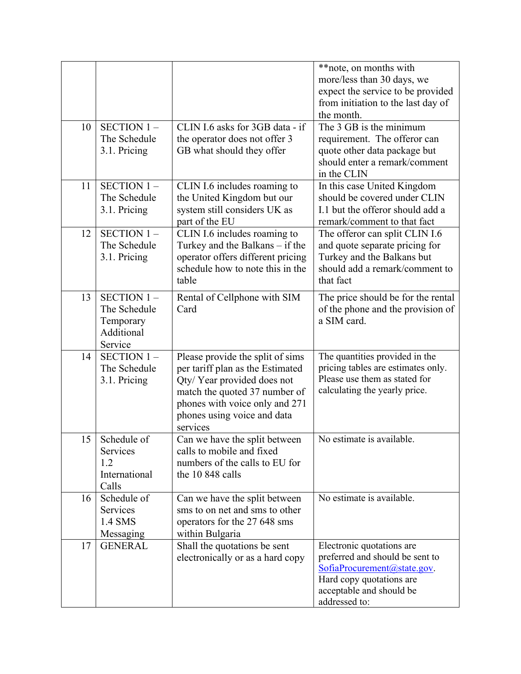|    |                                                                  |                                                                                                                                                                                                                  | ** note, on months with<br>more/less than 30 days, we<br>expect the service to be provided<br>from initiation to the last day of<br>the month.                         |
|----|------------------------------------------------------------------|------------------------------------------------------------------------------------------------------------------------------------------------------------------------------------------------------------------|------------------------------------------------------------------------------------------------------------------------------------------------------------------------|
| 10 | SECTION 1-<br>The Schedule<br>3.1. Pricing                       | CLIN I.6 asks for 3GB data - if<br>the operator does not offer 3<br>GB what should they offer                                                                                                                    | The 3 GB is the minimum<br>requirement. The offeror can<br>quote other data package but<br>should enter a remark/comment<br>in the CLIN                                |
| 11 | <b>SECTION 1-</b><br>The Schedule<br>3.1. Pricing                | CLIN I.6 includes roaming to<br>the United Kingdom but our<br>system still considers UK as<br>part of the EU                                                                                                     | In this case United Kingdom<br>should be covered under CLIN<br>I.1 but the offeror should add a<br>remark/comment to that fact                                         |
| 12 | <b>SECTION 1-</b><br>The Schedule<br>3.1. Pricing                | CLIN I.6 includes roaming to<br>Turkey and the Balkans - if the<br>operator offers different pricing<br>schedule how to note this in the<br>table                                                                | The offeror can split CLIN I.6<br>and quote separate pricing for<br>Turkey and the Balkans but<br>should add a remark/comment to<br>that fact                          |
| 13 | SECTION 1-<br>The Schedule<br>Temporary<br>Additional<br>Service | Rental of Cellphone with SIM<br>Card                                                                                                                                                                             | The price should be for the rental<br>of the phone and the provision of<br>a SIM card.                                                                                 |
| 14 | SECTION 1-<br>The Schedule<br>3.1. Pricing                       | Please provide the split of sims<br>per tariff plan as the Estimated<br>Qty/Year provided does not<br>match the quoted 37 number of<br>phones with voice only and 271<br>phones using voice and data<br>services | The quantities provided in the<br>pricing tables are estimates only.<br>Please use them as stated for<br>calculating the yearly price.                                 |
| 15 | Schedule of<br>Services<br>1.2<br>International<br>Calls         | Can we have the split between<br>calls to mobile and fixed<br>numbers of the calls to EU for<br>the 10 848 calls                                                                                                 | No estimate is available.                                                                                                                                              |
| 16 | Schedule of<br>Services<br>1.4 SMS<br>Messaging                  | Can we have the split between<br>sms to on net and sms to other<br>operators for the 27 648 sms<br>within Bulgaria                                                                                               | No estimate is available.                                                                                                                                              |
| 17 | <b>GENERAL</b>                                                   | Shall the quotations be sent<br>electronically or as a hard copy                                                                                                                                                 | Electronic quotations are<br>preferred and should be sent to<br>SofiaProcurrent(a) state.gov.<br>Hard copy quotations are<br>acceptable and should be<br>addressed to: |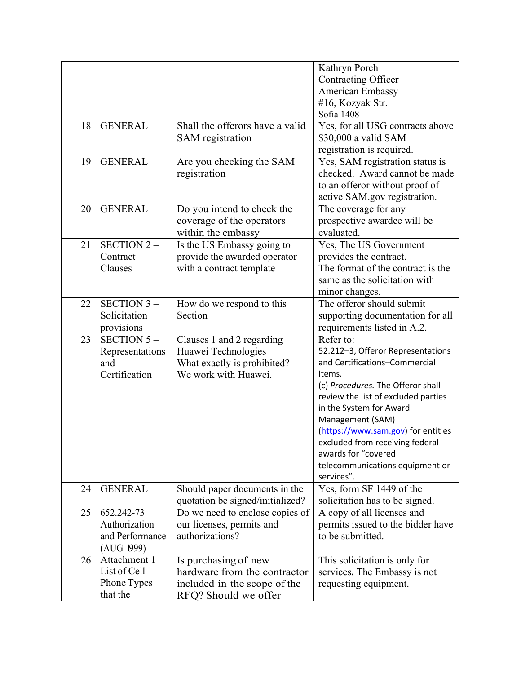|    |                   |                                  | Kathryn Porch                       |
|----|-------------------|----------------------------------|-------------------------------------|
|    |                   |                                  | Contracting Officer                 |
|    |                   |                                  | American Embassy                    |
|    |                   |                                  | #16, Kozyak Str.                    |
|    |                   |                                  | Sofia 1408                          |
| 18 | <b>GENERAL</b>    | Shall the offerors have a valid  | Yes, for all USG contracts above    |
|    |                   | SAM registration                 | \$30,000 a valid SAM                |
|    |                   |                                  | registration is required.           |
| 19 | <b>GENERAL</b>    | Are you checking the SAM         | Yes, SAM registration status is     |
|    |                   | registration                     | checked. Award cannot be made       |
|    |                   |                                  | to an offeror without proof of      |
|    |                   |                                  | active SAM.gov registration.        |
| 20 | <b>GENERAL</b>    | Do you intend to check the       | The coverage for any                |
|    |                   | coverage of the operators        | prospective awardee will be         |
|    |                   | within the embassy               | evaluated.                          |
| 21 | <b>SECTION 2-</b> | Is the US Embassy going to       | Yes, The US Government              |
|    | Contract          | provide the awarded operator     | provides the contract.              |
|    | Clauses           | with a contract template         | The format of the contract is the   |
|    |                   |                                  | same as the solicitation with       |
|    |                   |                                  | minor changes.                      |
| 22 | <b>SECTION 3-</b> | How do we respond to this        | The offeror should submit           |
|    | Solicitation      | Section                          | supporting documentation for all    |
|    | provisions        |                                  | requirements listed in A.2.         |
| 23 | SECTION $5-$      | Clauses 1 and 2 regarding        | Refer to:                           |
|    | Representations   | Huawei Technologies              | 52.212-3, Offeror Representations   |
|    | and               | What exactly is prohibited?      | and Certifications-Commercial       |
|    | Certification     | We work with Huawei.             | Items.                              |
|    |                   |                                  | (c) Procedures. The Offeror shall   |
|    |                   |                                  | review the list of excluded parties |
|    |                   |                                  | in the System for Award             |
|    |                   |                                  | Management (SAM)                    |
|    |                   |                                  | (https://www.sam.gov) for entities  |
|    |                   |                                  | excluded from receiving federal     |
|    |                   |                                  | awards for "covered                 |
|    |                   |                                  | telecommunications equipment or     |
|    |                   |                                  | services".                          |
| 24 | <b>GENERAL</b>    | Should paper documents in the    | Yes, form SF 1449 of the            |
|    |                   | quotation be signed/initialized? | solicitation has to be signed.      |
| 25 | 652.242-73        | Do we need to enclose copies of  | A copy of all licenses and          |
|    | Authorization     | our licenses, permits and        | permits issued to the bidder have   |
|    | and Performance   | authorizations?                  | to be submitted.                    |
|    | (AUG 1999)        |                                  |                                     |
| 26 | Attachment 1      | Is purchasing of new             | This solicitation is only for       |
|    | List of Cell      | hardware from the contractor     | services. The Embassy is not        |
|    | Phone Types       | included in the scope of the     | requesting equipment.               |
|    | that the          | RFQ? Should we offer             |                                     |